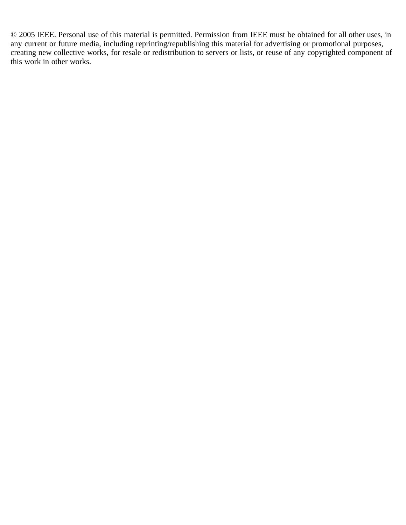© 2005 IEEE. Personal use of this material is permitted. Permission from IEEE must be obtained for all other uses, in any current or future media, including reprinting/republishing this material for advertising or promotional purposes, creating new collective works, for resale or redistribution to servers or lists, or reuse of any copyrighted component of this work in other works.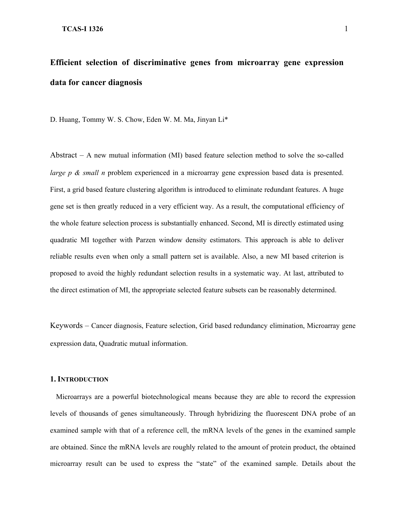# **Efficient selection of discriminative genes from microarray gene expression data for cancer diagnosis**

D. Huang, Tommy W. S. Chow, Eden W. M. Ma, Jinyan Li\*

Abstract – A new mutual information (MI) based feature selection method to solve the so-called *large p & small n* problem experienced in a microarray gene expression based data is presented. First, a grid based feature clustering algorithm is introduced to eliminate redundant features. A huge gene set is then greatly reduced in a very efficient way. As a result, the computational efficiency of the whole feature selection process is substantially enhanced. Second, MI is directly estimated using quadratic MI together with Parzen window density estimators. This approach is able to deliver reliable results even when only a small pattern set is available. Also, a new MI based criterion is proposed to avoid the highly redundant selection results in a systematic way. At last, attributed to the direct estimation of MI, the appropriate selected feature subsets can be reasonably determined.

Keywords – Cancer diagnosis, Feature selection, Grid based redundancy elimination, Microarray gene expression data, Quadratic mutual information.

#### **1. INTRODUCTION**

Microarrays are a powerful biotechnological means because they are able to record the expression levels of thousands of genes simultaneously. Through hybridizing the fluorescent DNA probe of an examined sample with that of a reference cell, the mRNA levels of the genes in the examined sample are obtained. Since the mRNA levels are roughly related to the amount of protein product, the obtained microarray result can be used to express the "state" of the examined sample. Details about the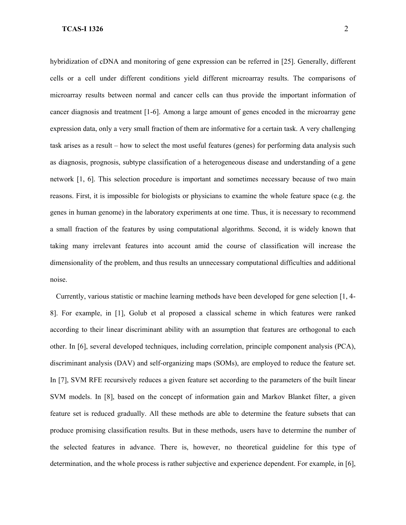hybridization of cDNA and monitoring of gene expression can be referred in [25]. Generally, different cells or a cell under different conditions yield different microarray results. The comparisons of microarray results between normal and cancer cells can thus provide the important information of cancer diagnosis and treatment [1-6]. Among a large amount of genes encoded in the microarray gene expression data, only a very small fraction of them are informative for a certain task. A very challenging task arises as a result – how to select the most useful features (genes) for performing data analysis such as diagnosis, prognosis, subtype classification of a heterogeneous disease and understanding of a gene network [1, 6]. This selection procedure is important and sometimes necessary because of two main reasons. First, it is impossible for biologists or physicians to examine the whole feature space (e.g. the genes in human genome) in the laboratory experiments at one time. Thus, it is necessary to recommend a small fraction of the features by using computational algorithms. Second, it is widely known that taking many irrelevant features into account amid the course of classification will increase the dimensionality of the problem, and thus results an unnecessary computational difficulties and additional noise.

Currently, various statistic or machine learning methods have been developed for gene selection [\[1,](#page-16-0) 4- 8]. For example, in [1], Golub et al proposed a classical scheme in which features were ranked according to their linear discriminant ability with an assumption that features are orthogonal to each other. In [6], several developed techniques, including correlation, principle component analysis (PCA), discriminant analysis (DAV) and self-organizing maps (SOMs), are employed to reduce the feature set. In [7], SVM RFE recursively reduces a given feature set according to the parameters of the built linear SVM models. In [8], based on the concept of information gain and Markov Blanket filter, a given feature set is reduced gradually. All these methods are able to determine the feature subsets that can produce promising classification results. But in these methods, users have to determine the number of the selected features in advance. There is, however, no theoretical guideline for this type of determination, and the whole process is rather subjective and experience dependent. For example, in [6],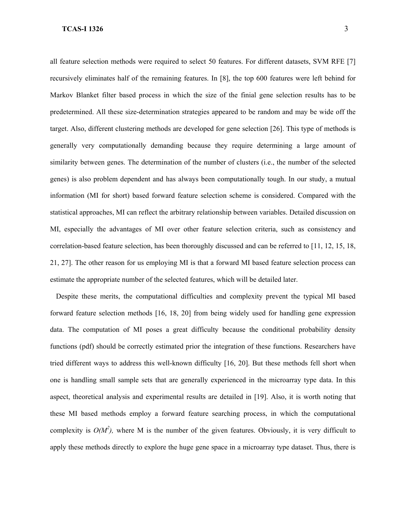all feature selection methods were required to select 50 features. For different datasets, SVM RFE [7] recursively eliminates half of the remaining features. In [8], the top 600 features were left behind for Markov Blanket filter based process in which the size of the finial gene selection results has to be predetermined. All these size-determination strategies appeared to be random and may be wide off the target. Also, different clustering methods are developed for gene selection [26]. This type of methods is generally very computationally demanding because they require determining a large amount of similarity between genes. The determination of the number of clusters (i.e., the number of the selected genes) is also problem dependent and has always been computationally tough. In our study, a mutual information (MI for short) based forward feature selection scheme is considered. Compared with the statistical approaches, MI can reflect the arbitrary relationship between variables. Detailed discussion on MI, especially the advantages of MI over other feature selection criteria, such as consistency and correlation-based feature selection, has been thoroughly discussed and can be referred to [11, 12, 15, 18, 21, 27]. The other reason for us employing MI is that a forward MI based feature selection process can estimate the appropriate number of the selected features, which will be detailed later.

Despite these merits, the computational difficulties and complexity prevent the typical MI based forward feature selection methods [16, 18, 20] from being widely used for handling gene expression data. The computation of MI poses a great difficulty because the conditional probability density functions (pdf) should be correctly estimated prior the integration of these functions. Researchers have tried different ways to address this well-known difficulty [16, 20]. But these methods fell short when one is handling small sample sets that are generally experienced in the microarray type data. In this aspect, theoretical analysis and experimental results are detailed in [19]. Also, it is worth noting that these MI based methods employ a forward feature searching process, in which the computational complexity is  $O(M^2)$ , where M is the number of the given features. Obviously, it is very difficult to apply these methods directly to explore the huge gene space in a microarray type dataset. Thus, there is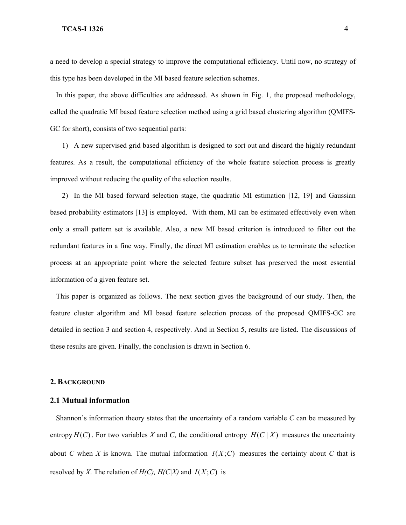a need to develop a special strategy to improve the computational efficiency. Until now, no strategy of this type has been developed in the MI based feature selection schemes.

In this paper, the above difficulties are addressed. As shown in Fig. 1, the proposed methodology, called the quadratic MI based feature selection method using a grid based clustering algorithm (QMIFS-GC for short), consists of two sequential parts:

1) A new supervised grid based algorithm is designed to sort out and discard the highly redundant features. As a result, the computational efficiency of the whole feature selection process is greatly improved without reducing the quality of the selection results.

2) In the MI based forward selection stage, the quadratic MI estimation [12, 19] and Gaussian based probability estimators [13] is employed. With them, MI can be estimated effectively even when only a small pattern set is available. Also, a new MI based criterion is introduced to filter out the redundant features in a fine way. Finally, the direct MI estimation enables us to terminate the selection process at an appropriate point where the selected feature subset has preserved the most essential information of a given feature set.

This paper is organized as follows. The next section gives the background of our study. Then, the feature cluster algorithm and MI based feature selection process of the proposed QMIFS-GC are detailed in section 3 and section 4, respectively. And in Section 5, results are listed. The discussions of these results are given. Finally, the conclusion is drawn in Section 6.

#### **2. BACKGROUND**

#### **2.1 Mutual information**

Shannon's information theory states that the uncertainty of a random variable *C* can be measured by entropy  $H(C)$ . For two variables X and C, the conditional entropy  $H(C | X)$  measures the uncertainty about *C* when *X* is known. The mutual information  $I(X;C)$  measures the certainty about *C* that is resolved by *X*. The relation of  $H(C)$ ,  $H(C|X)$  and  $I(X;C)$  is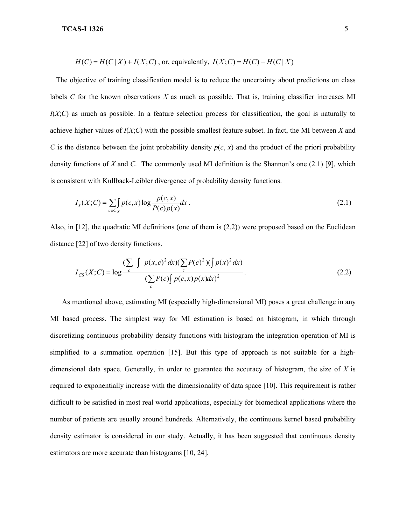$$
H(C) = H(C | X) + I(X; C)
$$
, or, equivalently,  $I(X; C) = H(C) - H(C | X)$ 

The objective of training classification model is to reduce the uncertainty about predictions on class labels *C* for the known observations *X* as much as possible. That is, training classifier increases MI *I*(*X*;*C*) as much as possible. In a feature selection process for classification, the goal is naturally to achieve higher values of *I*(*X*;*C*) with the possible smallest feature subset. In fact, the MI between *X* and *C* is the distance between the joint probability density  $p(c, x)$  and the product of the priori probability density functions of *X* and *C*. The commonly used MI definition is the Shannon's one (2.1) [9], which is consistent with Kullback-Leibler divergence of probability density functions.

$$
I_{s}(X;C) = \sum_{c \in C_{x}} \int p(c,x) \log \frac{p(c,x)}{P(c)p(x)} dx.
$$
 (2.1)

Also, in [12], the quadratic MI definitions (one of them is (2.2)) were proposed based on the Euclidean distance [22] of two density functions.

$$
I_{CS}(X;C) = \log \frac{\left(\sum_{c} \int p(x,c)^2 dx\right) \left(\sum_{c} P(c)^2\right) \left(\int p(x)^2 dx\right)}{\left(\sum_{c} P(c) \int p(c,x) p(x) dx\right)^2}.
$$
\n(2.2)

As mentioned above, estimating MI (especially high-dimensional MI) poses a great challenge in any MI based process. The simplest way for MI estimation is based on histogram, in which through discretizing continuous probability density functions with histogram the integration operation of MI is simplified to a summation operation [15]. But this type of approach is not suitable for a highdimensional data space. Generally, in order to guarantee the accuracy of histogram, the size of *X* is required to exponentially increase with the dimensionality of data space [10]. This requirement is rather difficult to be satisfied in most real world applications, especially for biomedical applications where the number of patients are usually around hundreds. Alternatively, the continuous kernel based probability density estimator is considered in our study. Actually, it has been suggested that continuous density estimators are more accurate than histograms [10, 24].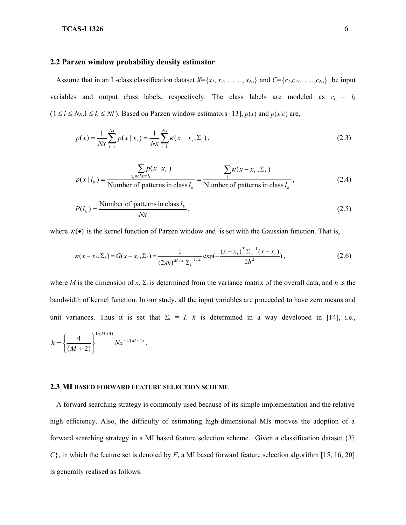#### **2.2 Parzen window probability density estimator**

Assume that in an L-class classification dataset  $X = \{x_1, x_2, \ldots, x_{Nx}\}\$ and  $C = \{c_1, c_2, \ldots, c_{Nx}\}\$ be input variables and output class labels, respectively. The class labels are modeled as  $c_i = l_k$  $(1 \le i \le Nx, 1 \le k \le NI)$ . Based on Parzen window estimators [13],  $p(x)$  and  $p(x|c)$  are,

$$
p(x) = \frac{1}{Nx} \sum_{i=1}^{Nx} p(x | x_i) = \frac{1}{Nx} \sum_{i=1}^{Nx} \kappa(x - x_i, \Sigma_i),
$$
 (2.3)

$$
p(x | l_k) = \frac{\sum_{x_i \in class l_k} p(x | x_i)}{\text{Number of patterns in class } l_k} = \frac{\sum_{i} \kappa(x - x_i, \Sigma_i)}{\text{Number of patterns in class } l_k},
$$
\n(2.4)

$$
P(l_k) = \frac{\text{Number of patterns in class } l_k}{Nx},
$$
\n(2.5)

where  $\kappa(\bullet)$  is the kernel function of Parzen window and is set with the Gaussian function. That is,

$$
\kappa(x - x_i, \Sigma_i) = G(x - x_i, \Sigma_i) = \frac{1}{(2\pi h)^{M/2} |\Sigma_i|^{1/2}} \exp(-\frac{(x - x_i)^T \Sigma_i^{-1} (x - x_i)}{2h^2}),
$$
\n(2.6)

where *M* is the dimension of *x*,  $\Sigma_i$  is determined from the variance matrix of the overall data, and *h* is the bandwidth of kernel function. In our study, all the input variables are proceeded to have zero means and unit variances. Thus it is set that  $\Sigma_i = I$ . *h* is determined in a way developed in [14], i.e.,

$$
h = \left\{ \frac{4}{(M+2)} \right\}^{1/(M+4)} N x^{-1/(M+4)}.
$$

#### **2.3 MI BASED FORWARD FEATURE SELECTION SCHEME**

A forward searching strategy is commonly used because of its simple implementation and the relative high efficiency. Also, the difficulty of estimating high-dimensional MIs motives the adoption of a forward searching strategy in a MI based feature selection scheme. Given a classification dataset {*X*; *C*}, in which the feature set is denoted by *F*, a MI based forward feature selection algorithm [15, 16, 20] is generally realised as follows.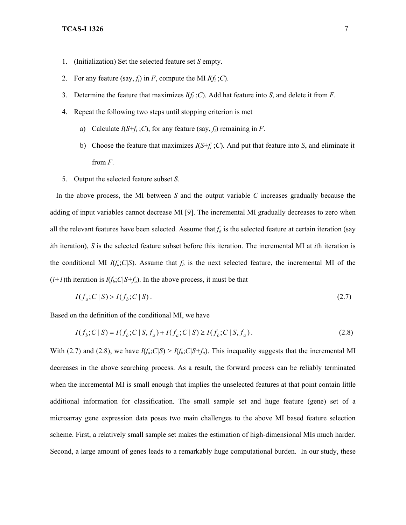- 1. (Initialization) Set the selected feature set *S* empty.
- 2. For any feature (say,  $f_i$ ) in *F*, compute the MI  $I(f_i; C)$ .
- 3. Determine the feature that maximizes *I*(*fi* ;*C*). Add hat feature into *S*, and delete it from *F*.
- 4. Repeat the following two steps until stopping criterion is met
	- a) Calculate  $I(S+f_i; C)$ , for any feature (say,  $f_i$ ) remaining in *F*.
	- b) Choose the feature that maximizes  $I(S+f_i; C)$ . And put that feature into *S*, and eliminate it from *F*.
- 5. Output the selected feature subset *S*.

In the above process, the MI between *S* and the output variable *C* increases gradually because the adding of input variables cannot decrease MI [9]. The incremental MI gradually decreases to zero when all the relevant features have been selected. Assume that  $f_a$  is the selected feature at certain iteration (say *i*th iteration), *S* is the selected feature subset before this iteration. The incremental MI at *i*th iteration is the conditional MI  $I(f_a;C|S)$ . Assume that  $f_b$  is the next selected feature, the incremental MI of the  $(i+1)$ th iteration is  $I(f_b;C|S+f_a)$ . In the above process, it must be that

$$
I(f_a; C \mid S) > I(f_b; C \mid S). \tag{2.7}
$$

Based on the definition of the conditional MI, we have

$$
I(f_b; C | S) = I(f_b; C | S, f_a) + I(f_a; C | S) \ge I(f_b; C | S, f_a).
$$
\n(2.8)

With (2.7) and (2.8), we have  $I(f_a; C|S) > I(f_b; C|S+f_a)$ . This inequality suggests that the incremental MI decreases in the above searching process. As a result, the forward process can be reliably terminated when the incremental MI is small enough that implies the unselected features at that point contain little additional information for classification. The small sample set and huge feature (gene) set of a microarray gene expression data poses two main challenges to the above MI based feature selection scheme. First, a relatively small sample set makes the estimation of high-dimensional MIs much harder. Second, a large amount of genes leads to a remarkably huge computational burden. In our study, these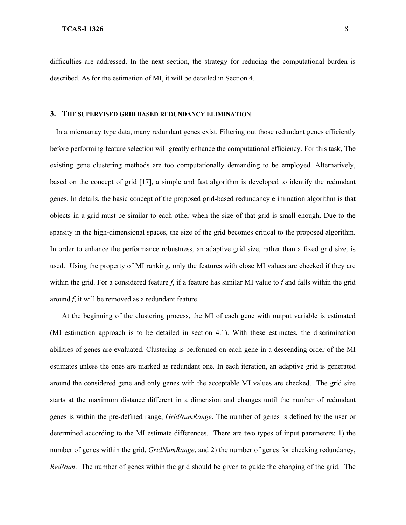difficulties are addressed. In the next section, the strategy for reducing the computational burden is described. As for the estimation of MI, it will be detailed in Section 4.

#### **3. THE SUPERVISED GRID BASED REDUNDANCY ELIMINATION**

In a microarray type data, many redundant genes exist. Filtering out those redundant genes efficiently before performing feature selection will greatly enhance the computational efficiency. For this task, The existing gene clustering methods are too computationally demanding to be employed. Alternatively, based on the concept of grid [17], a simple and fast algorithm is developed to identify the redundant genes. In details, the basic concept of the proposed grid-based redundancy elimination algorithm is that objects in a grid must be similar to each other when the size of that grid is small enough. Due to the sparsity in the high-dimensional spaces, the size of the grid becomes critical to the proposed algorithm. In order to enhance the performance robustness, an adaptive grid size, rather than a fixed grid size, is used. Using the property of MI ranking, only the features with close MI values are checked if they are within the grid. For a considered feature *f*, if a feature has similar MI value to *f* and falls within the grid around *f*, it will be removed as a redundant feature.

At the beginning of the clustering process, the MI of each gene with output variable is estimated (MI estimation approach is to be detailed in section 4.1). With these estimates, the discrimination abilities of genes are evaluated. Clustering is performed on each gene in a descending order of the MI estimates unless the ones are marked as redundant one. In each iteration, an adaptive grid is generated around the considered gene and only genes with the acceptable MI values are checked. The grid size starts at the maximum distance different in a dimension and changes until the number of redundant genes is within the pre-defined range, *GridNumRange*. The number of genes is defined by the user or determined according to the MI estimate differences. There are two types of input parameters: 1) the number of genes within the grid, *GridNumRange*, and 2) the number of genes for checking redundancy, *RedNum*. The number of genes within the grid should be given to guide the changing of the grid. The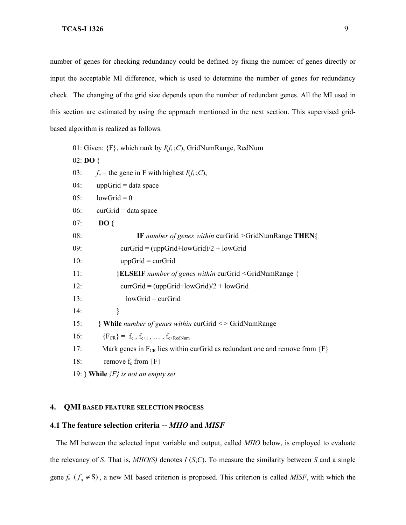number of genes for checking redundancy could be defined by fixing the number of genes directly or input the acceptable MI difference, which is used to determine the number of genes for redundancy check. The changing of the grid size depends upon the number of redundant genes. All the MI used in this section are estimated by using the approach mentioned in the next section. This supervised gridbased algorithm is realized as follows.

01: Given: {F}, which rank by *I*(*fi* ;*C*), GridNumRange, RedNum

02: **DO {**

- 03:  $f_c$  = the gene in F with highest  $I(f_i; C)$ ,
- $04:$  uppGrid = data space
- $05:$  lowGrid = 0
- $06:$  curGrid = data space
- 07: **DO {**

08: **IF** *number of genes within* curGrid *>*GridNumRange **THEN{** 09: curGrid =  $\frac{1}{\text{wGrid + lowGrid}}$  + lowGrid

 $10:$  uppGrid = curGrid

11: **}ELSEIF** *number of genes within* curGrid *<*GridNumRange {

12: currGrid =  $(uppGrid+lowGrid)/2 + lowGrid$ 

- 13: lowGrid = curGrid
- 14: **}**
- 15: **} While** *number of genes within* curGrid *<>* GridNumRange

16:  ${F_{CR}} = f_c, f_{c+1}, ..., f_{c+RedNum}$ 

- 17: Mark genes in  $F_{CR}$  lies within curGrid as redundant one and remove from  ${F}$
- 18: remove  $f_c$  from  ${F}$
- 19: **} While** *{F} is not an empty set*

#### **4. QMI BASED FEATURE SELECTION PROCESS**

#### **4.1 The feature selection criteria --** *MIIO* **and** *MISF*

The MI between the selected input variable and output, called *MIIO* below, is employed to evaluate the relevancy of *S*. That is, *MIIO(S)* denotes *I* (*S*;*C*). To measure the similarity between *S* and a single gene  $f_a$  ( $f_a \notin S$ ), a new MI based criterion is proposed. This criterion is called *MISF*, with which the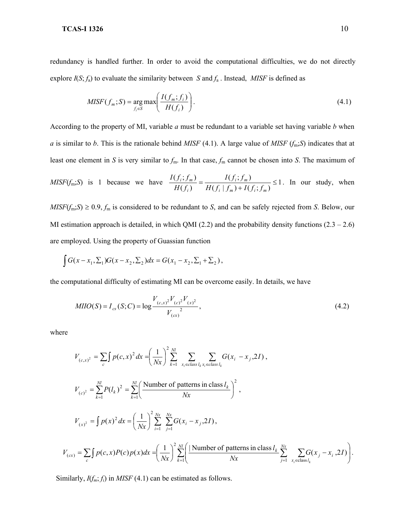redundancy is handled further. In order to avoid the computational difficulties, we do not directly explore  $I(S; f_a)$  to evaluate the similarity between *S* and  $f_a$ . Instead, *MISF* is defined as

$$
MISF(f_m;S) = \underset{f_i \in S}{\arg \max} \left( \frac{I(f_m; f_i)}{H(f_i)} \right). \tag{4.1}
$$

According to the property of MI, variable *a* must be redundant to a variable set having variable *b* when *a* is similar to *b*. This is the rationale behind *MISF* (4.1). A large value of *MISF* (*f*m;*S*) indicates that at least one element in *S* is very similar to *f*m. In that case, *f*<sup>m</sup> cannot be chosen into *S*. The maximum of

$$
MISF(f_m;S) \text{ is 1 because we have } \frac{I(f_i; f_m)}{H(f_i)} = \frac{I(f_i; f_m)}{H(f_i \mid f_m) + I(f_i; f_m)} \le 1. \text{ In our study, when}
$$

 $MISF(f_m;S) \ge 0.9, f_m$  is considered to be redundant to *S*, and can be safely rejected from *S*. Below, our MI estimation approach is detailed, in which QMI (2.2) and the probability density functions  $(2.3 - 2.6)$ are employed. Using the property of Guassian function

$$
\int G(x - x_1, \Sigma_1) G(x - x_2, \Sigma_2) dx = G(x_1 - x_2, \Sigma_1 + \Sigma_2),
$$

the computational difficulty of estimating MI can be overcome easily. In details, we have

$$
MHO(S) = I_{cs}(S;C) = \log \frac{V_{(c,x)}^2 V_{(c)}^2 V_{(x)}^2}{V_{(cx)}^2},
$$
\n(4.2)

where

$$
V_{(c,x)^{2}} = \sum_{c} \int p(c,x)^{2} dx = \left(\frac{1}{Nx}\right)^{2} \sum_{k=1}^{Nl} \sum_{x_{i} \in class \, l_{k}x_{i} \in class \, l_{k}} G(x_{i} - x_{j}, 2I),
$$
  
\n
$$
V_{(c)^{2}} = \sum_{k=1}^{Nl} P(l_{k})^{2} = \sum_{k=1}^{Nl} \left(\frac{\text{Number of patterns in class } l_{k}}{Nx}\right)^{2},
$$
  
\n
$$
V_{(x)^{2}} = \int p(x)^{2} dx = \left(\frac{1}{Nx}\right)^{2} \sum_{i=1}^{Nx} \sum_{j=1}^{Nx} G(x_{i} - x_{j}, 2I),
$$
  
\n
$$
V_{(cx)} = \sum_{c} \int p(c,x)P(c)p(x)dx = \left(\frac{1}{Nx}\right)^{2} \sum_{k=1}^{Nl} \left(\frac{\text{Number of patterns in class } l_{k}}{Nx} \sum_{j=1}^{Nx} \sum_{x_{i} \in class \, l_{k}} G(x_{j} - x_{i}, 2I)\right).
$$

Similarly,  $I(f_m; f_i)$  in *MISF* (4.1) can be estimated as follows.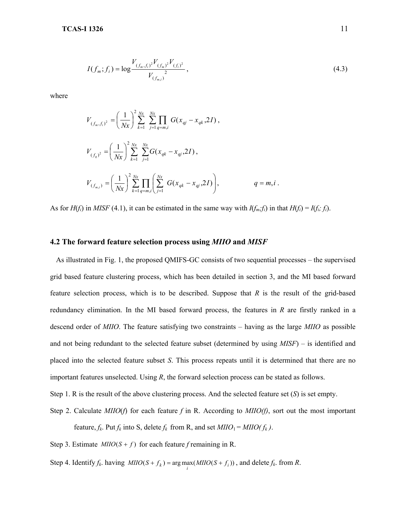$$
I(f_m; f_i) = \log \frac{V_{(f_m, f_i)^2} V_{(f_m)^2} V_{(f_i)^2}}{V_{(f_{m,i})}^2},
$$
\n(4.3)

where

$$
V_{(f_m, f_i)^2} = \left(\frac{1}{Nx}\right)^2 \sum_{k=1}^{Nx} \sum_{j=1}^{Nx} \prod_{q=m,i} G(x_{qj} - x_{qk}, 2I),
$$
  

$$
V_{(f_q)^2} = \left(\frac{1}{Nx}\right)^2 \sum_{k=1}^{Nx} \sum_{j=1}^{Nx} G(x_{qk} - x_{qj}, 2I),
$$
  

$$
V_{(f_{m,i})} = \left(\frac{1}{Nx}\right)^2 \sum_{k=1}^{Nx} \prod_{q=m,i} \left(\sum_{j=1}^{Nx} G(x_{qk} - x_{qj}, 2I)\right),
$$
  

$$
q = m, i.
$$

As for  $H(f_i)$  in MISF (4.1), it can be estimated in the same way with  $I(f_m; f_i)$  in that  $H(f_i) = I(f_i; f_i)$ .

#### **4.2 The forward feature selection process using** *MIIO* **and** *MISF*

As illustrated in Fig. 1, the proposed QMIFS-GC consists of two sequential processes – the supervised grid based feature clustering process, which has been detailed in section 3, and the MI based forward feature selection process, which is to be described. Suppose that *R* is the result of the grid-based redundancy elimination. In the MI based forward process, the features in *R* are firstly ranked in a descend order of *MIIO*. The feature satisfying two constraints – having as the large *MIIO* as possible and not being redundant to the selected feature subset (determined by using *MISF*) – is identified and placed into the selected feature subset *S*. This process repeats until it is determined that there are no important features unselected. Using *R*, the forward selection process can be stated as follows.

Step 1. R is the result of the above clustering process. And the selected feature set (*S*) is set empty.

Step 2. Calculate *MIIO*(*f*) for each feature *f* in R. According to *MIIO(f)*, sort out the most important feature,  $f_k$ . Put  $f_k$  into S, delete  $f_k$  from R, and set  $MIO_1 = MIO(f_k)$ .

Step 3. Estimate  $MIO(S + f)$  for each feature *f* remaining in R.

Step 4. Identify  $f_k$ . having  $MIIO(S + f_k) = \arg \max_i (MIIO(S + f_i))$ , and delete  $f_k$ . from *R*.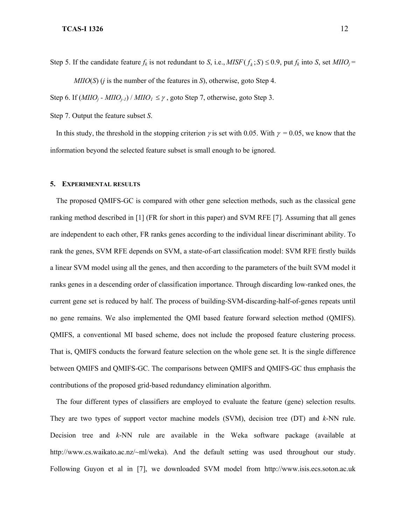Step 5. If the candidate feature  $f_k$  is not redundant to *S*, i.e., *MISF*( $f_k$ ; *S*)  $\leq$  0.9, put  $f_k$  into *S*, set *MIIO<sub>i</sub>* = *MIIO*(*S*) (*j* is the number of the features in *S*), otherwise, goto Step 4.

Step 6. If  $(MIIO_i - MIIO_{i-1})$  /  $MIO_1 \leq \gamma$ , goto Step 7, otherwise, goto Step 3.

Step 7. Output the feature subset *S*.

In this study, the threshold in the stopping criterion γ is set with 0.05. With <sup>γ</sup>= 0.05, we know that the information beyond the selected feature subset is small enough to be ignored.

#### **5. EXPERIMENTAL RESULTS**

The proposed QMIFS-GC is compared with other gene selection methods, such as the classical gene ranking method described in [1] (FR for short in this paper) and SVM RFE [7]. Assuming that all genes are independent to each other, FR ranks genes according to the individual linear discriminant ability. To rank the genes, SVM RFE depends on SVM, a state-of-art classification model: SVM RFE firstly builds a linear SVM model using all the genes, and then according to the parameters of the built SVM model it ranks genes in a descending order of classification importance. Through discarding low-ranked ones, the current gene set is reduced by half. The process of building-SVM-discarding-half-of-genes repeats until no gene remains. We also implemented the QMI based feature forward selection method (QMIFS). QMIFS, a conventional MI based scheme, does not include the proposed feature clustering process. That is, QMIFS conducts the forward feature selection on the whole gene set. It is the single difference between QMIFS and QMIFS-GC. The comparisons between QMIFS and QMIFS-GC thus emphasis the contributions of the proposed grid-based redundancy elimination algorithm.

The four different types of classifiers are employed to evaluate the feature (gene) selection results. They are two types of support vector machine models (SVM), decision tree (DT) and *k*-NN rule. Decision tree and *k*-NN rule are available in the Weka software package (available at http://www.cs.waikato.ac.nz/~ml/weka). And the default setting was used throughout our study. Following Guyon et al in [7], we downloaded SVM model from http://www.isis.ecs.soton.ac.uk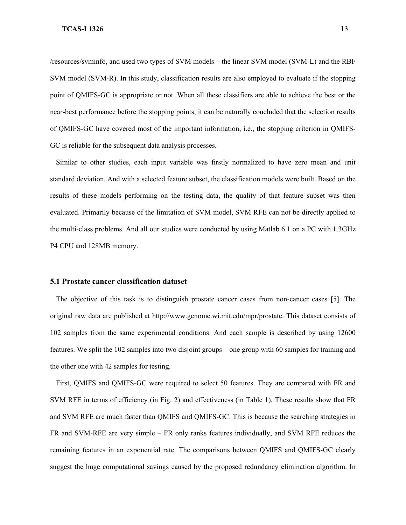/resources/svminfo, and used two types of SVM models – the linear SVM model (SVM-L) and the RBF SVM model (SVM-R). In this study, classification results are also employed to evaluate if the stopping point of QMIFS-GC is appropriate or not. When all these classifiers are able to achieve the best or the near-best performance before the stopping points, it can be naturally concluded that the selection results of QMIFS-GC have covered most of the important information, i.e., the stopping criterion in QMIFS-GC is reliable for the subsequent data analysis processes.

Similar to other studies, each input variable was firstly normalized to have zero mean and unit standard deviation. And with a selected feature subset, the classification models were built. Based on the results of these models performing on the testing data, the quality of that feature subset was then evaluated. Primarily because of the limitation of SVM model, SVM RFE can not be directly applied to the multi-class problems. And all our studies were conducted by using Matlab 6.1 on a PC with 1.3GHz P4 CPU and 128MB memory.

#### **5.1 Prostate cancer classification dataset**

The objective of this task is to distinguish prostate cancer cases from non-cancer cases [5]. The original raw data are published at http://www.genome.wi.mit.edu/mpr/prostate. This dataset consists of 102 samples from the same experimental conditions. And each sample is described by using 12600 features. We split the 102 samples into two disjoint groups – one group with 60 samples for training and the other one with 42 samples for testing.

First, QMIFS and QMIFS-GC were required to select 50 features. They are compared with FR and SVM RFE in terms of efficiency (in Fig. 2) and effectiveness (in Table 1). These results show that FR and SVM RFE are much faster than QMIFS and QMIFS-GC. This is because the searching strategies in FR and SVM-RFE are very simple – FR only ranks features individually, and SVM RFE reduces the remaining features in an exponential rate. The comparisons between QMIFS and QMIFS-GC clearly suggest the huge computational savings caused by the proposed redundancy elimination algorithm. In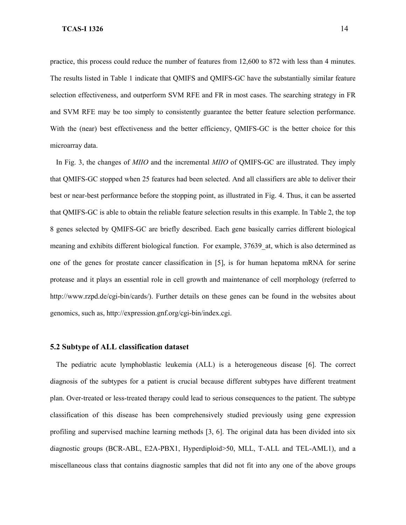practice, this process could reduce the number of features from 12,600 to 872 with less than 4 minutes. The results listed in Table 1 indicate that QMIFS and QMIFS-GC have the substantially similar feature selection effectiveness, and outperform SVM RFE and FR in most cases. The searching strategy in FR and SVM RFE may be too simply to consistently guarantee the better feature selection performance. With the (near) best effectiveness and the better efficiency, QMIFS-GC is the better choice for this microarray data.

In Fig. 3, the changes of *MIIO* and the incremental *MIIO* of QMIFS-GC are illustrated. They imply that QMIFS-GC stopped when 25 features had been selected. And all classifiers are able to deliver their best or near-best performance before the stopping point, as illustrated in Fig. 4. Thus, it can be asserted that QMIFS-GC is able to obtain the reliable feature selection results in this example. In Table 2, the top 8 genes selected by QMIFS-GC are briefly described. Each gene basically carries different biological meaning and exhibits different biological function. For example, 37639 at, which is also determined as one of the genes for prostate cancer classification in [5], is for human hepatoma mRNA for serine protease and it plays an essential role in cell growth and maintenance of cell morphology (referred to http://www.rzpd.de/cgi-bin/cards/). Further details on these genes can be found in the websites about genomics, such as, http://expression.gnf.org/cgi-bin/index.cgi.

#### **5.2 Subtype of ALL classification dataset**

The pediatric acute lymphoblastic leukemia (ALL) is a heterogeneous disease [6]. The correct diagnosis of the subtypes for a patient is crucial because different subtypes have different treatment plan. Over-treated or less-treated therapy could lead to serious consequences to the patient. The subtype classification of this disease has been comprehensively studied previously using gene expression profiling and supervised machine learning methods [3, 6]. The original data has been divided into six diagnostic groups (BCR-ABL, E2A-PBX1, Hyperdiploid>50, MLL, T-ALL and TEL-AML1), and a miscellaneous class that contains diagnostic samples that did not fit into any one of the above groups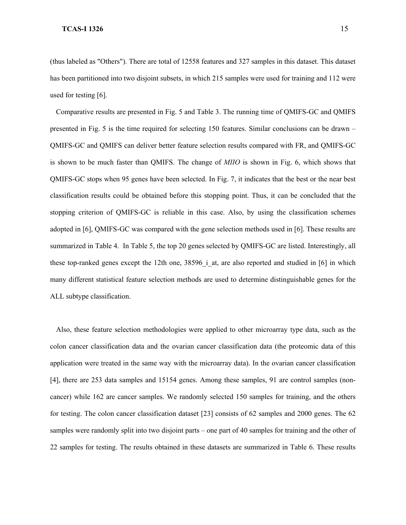(thus labeled as "Others"). There are total of 12558 features and 327 samples in this dataset. This dataset has been partitioned into two disjoint subsets, in which 215 samples were used for training and 112 were used for testing [6].

Comparative results are presented in Fig. 5 and Table 3. The running time of QMIFS-GC and QMIFS presented in Fig. 5 is the time required for selecting 150 features. Similar conclusions can be drawn – QMIFS-GC and QMIFS can deliver better feature selection results compared with FR, and QMIFS-GC is shown to be much faster than QMIFS. The change of *MIIO* is shown in Fig. 6, which shows that QMIFS-GC stops when 95 genes have been selected. In Fig. 7, it indicates that the best or the near best classification results could be obtained before this stopping point. Thus, it can be concluded that the stopping criterion of QMIFS-GC is reliable in this case. Also, by using the classification schemes adopted in [6], QMIFS-GC was compared with the gene selection methods used in [6]. These results are summarized in Table 4. In Table 5, the top 20 genes selected by QMIFS-GC are listed. Interestingly, all these top-ranked genes except the 12th one,  $38596$  i at, are also reported and studied in [6] in which many different statistical feature selection methods are used to determine distinguishable genes for the ALL subtype classification.

Also, these feature selection methodologies were applied to other microarray type data, such as the colon cancer classification data and the ovarian cancer classification data (the proteomic data of this application were treated in the same way with the microarray data). In the ovarian cancer classification [4], there are 253 data samples and 15154 genes. Among these samples, 91 are control samples (noncancer) while 162 are cancer samples. We randomly selected 150 samples for training, and the others for testing. The colon cancer classification dataset [23] consists of 62 samples and 2000 genes. The 62 samples were randomly split into two disjoint parts – one part of 40 samples for training and the other of 22 samples for testing. The results obtained in these datasets are summarized in Table 6. These results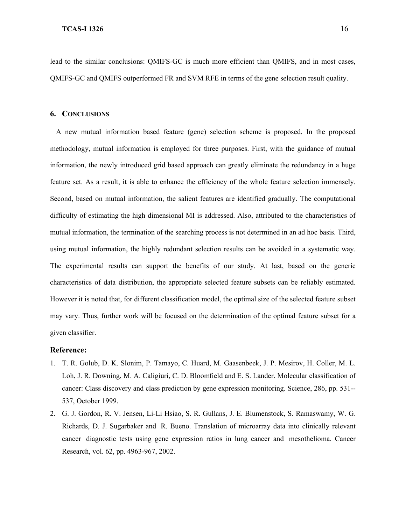lead to the similar conclusions: QMIFS-GC is much more efficient than QMIFS, and in most cases, QMIFS-GC and QMIFS outperformed FR and SVM RFE in terms of the gene selection result quality.

#### **6. CONCLUSIONS**

A new mutual information based feature (gene) selection scheme is proposed. In the proposed methodology, mutual information is employed for three purposes. First, with the guidance of mutual information, the newly introduced grid based approach can greatly eliminate the redundancy in a huge feature set. As a result, it is able to enhance the efficiency of the whole feature selection immensely. Second, based on mutual information, the salient features are identified gradually. The computational difficulty of estimating the high dimensional MI is addressed. Also, attributed to the characteristics of mutual information, the termination of the searching process is not determined in an ad hoc basis. Third, using mutual information, the highly redundant selection results can be avoided in a systematic way. The experimental results can support the benefits of our study. At last, based on the generic characteristics of data distribution, the appropriate selected feature subsets can be reliably estimated. However it is noted that, for different classification model, the optimal size of the selected feature subset may vary. Thus, further work will be focused on the determination of the optimal feature subset for a given classifier.

#### **Reference:**

- <span id="page-16-0"></span>1. T. R. Golub, D. K. Slonim, P. Tamayo, C. Huard, M. Gaasenbeek, J. P. Mesirov, H. Coller, M. L. Loh, J. R. Downing, M. A. Caligiuri, C. D. Bloomfield and E. S. Lander. Molecular classification of cancer: Class discovery and class prediction by gene expression monitoring. Science, 286, pp. 531-- 537, October 1999.
- 2. G. J. Gordon, R. V. Jensen, Li-Li Hsiao, S. R. Gullans, J. E. Blumenstock, S. Ramaswamy, W. G. Richards, D. J. Sugarbaker and R. Bueno. Translation of microarray data into clinically relevant cancer diagnostic tests using gene expression ratios in lung cancer and mesothelioma. Cancer Research, vol. 62, pp. 4963-967, 2002.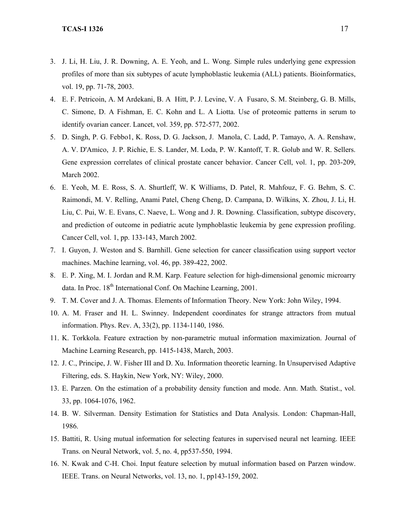- 3. J. Li, H. Liu, J. R. Downing, A. E. Yeoh, and L. Wong. Simple rules underlying gene expression profiles of more than six subtypes of acute lymphoblastic leukemia (ALL) patients. Bioinformatics, vol. 19, pp. 71-78, 2003.
- 4. E. F. Petricoin, A. M Ardekani, B. A Hitt, P. J. Levine, V. A Fusaro, S. M. Steinberg, G. B. Mills, C. Simone, D. A Fishman, E. C. Kohn and L. A Liotta. Use of proteomic patterns in serum to identify ovarian cancer. Lancet, vol. 359, pp. 572-577, 2002.
- 5. D. Singh, P. G. Febbo1, K. Ross, D. G. Jackson, J. Manola, C. Ladd, P. Tamayo, A. A. Renshaw, A. V. D'Amico, J. P. Richie, E. S. Lander, M. Loda, P. W. Kantoff, T. R. Golub and W. R. Sellers. Gene expression correlates of clinical prostate cancer behavior. Cancer Cell, vol. 1, pp. 203-209, March 2002.
- 6. E. Yeoh, M. E. Ross, S. A. Shurtleff, W. K Williams, D. Patel, R. Mahfouz, F. G. Behm, S. C. Raimondi, M. V. Relling, Anami Patel, Cheng Cheng, D. Campana, D. Wilkins, X. Zhou, J. Li, H. Liu, C. Pui, W. E. Evans, C. Naeve, L. Wong and J. R. Downing. Classification, subtype discovery, and prediction of outcome in pediatric acute lymphoblastic leukemia by gene expression profiling. Cancer Cell, vol. 1, pp. 133-143, March 2002.
- 7. I. Guyon, J. Weston and S. Barnhill. Gene selection for cancer classification using support vector machines. Machine learning, vol. 46, pp. 389-422, 2002.
- 8. E. P. Xing, M. I. Jordan and R.M. Karp. Feature selection for high-dimensional genomic microarry data. In Proc.  $18<sup>th</sup>$  International Conf. On Machine Learning, 2001.
- 9. T. M. Cover and J. A. Thomas. Elements of Information Theory. New York: John Wiley, 1994.
- 10. A. M. Fraser and H. L. Swinney. Independent coordinates for strange attractors from mutual information. Phys. Rev. A, 33(2), pp. 1134-1140, 1986.
- 11. K. Torkkola. Feature extraction by non-parametric mutual information maximization. Journal of Machine Learning Research, pp. 1415-1438, March, 2003.
- 12. J. C., Principe, J. W. Fisher III and D. Xu. Information theoretic learning. In Unsupervised Adaptive Filtering, eds. S. Haykin, New York, NY: Wiley, 2000.
- 13. E. Parzen. On the estimation of a probability density function and mode. Ann. Math. Statist., vol. 33, pp. 1064-1076, 1962.
- 14. B. W. Silverman. Density Estimation for Statistics and Data Analysis. London: Chapman-Hall, 1986.
- 15. Battiti, R. Using mutual information for selecting features in supervised neural net learning. IEEE Trans. on Neural Network, vol. 5, no. 4, pp537-550, 1994.
- 16. N. Kwak and C-H. Choi. Input feature selection by mutual information based on Parzen window. IEEE. Trans. on Neural Networks, vol. 13, no. 1, pp143-159, 2002.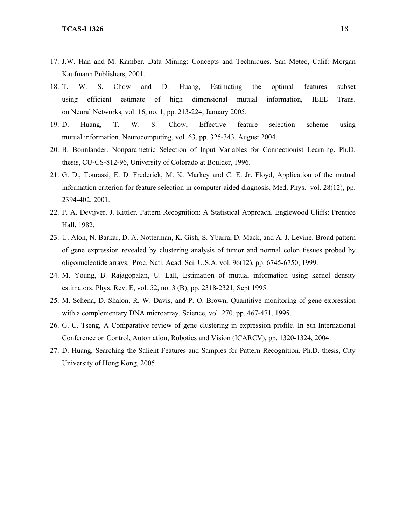- 17. J.W. Han and M. Kamber. Data Mining: Concepts and Techniques. San Meteo, Calif: Morgan Kaufmann Publishers, 2001.
- 18. T. W. S. Chow and D. Huang, Estimating the optimal features subset using efficient estimate of high dimensional mutual information, IEEE Trans. on Neural Networks, vol. 16, no. 1, pp. 213-224, January 2005.
- 19. D. Huang, T. W. S. Chow, Effective feature selection scheme using mutual information. Neurocomputing, vol. 63, pp. 325-343, August 2004.
- 20. B. Bonnlander. Nonparametric Selection of Input Variables for Connectionist Learning. Ph.D. thesis, CU-CS-812-96, University of Colorado at Boulder, 1996.
- 21. G. D., Tourassi, E. D. Frederick, M. K. Markey and C. E. Jr. Floyd, Application of the mutual information criterion for feature selection in computer-aided diagnosis. Med, Phys. vol. 28(12), pp. 2394-402, 2001.
- 22. P. A. Devijver, J. Kittler. Pattern Recognition: A Statistical Approach. Englewood Cliffs: Prentice Hall, 1982.
- 23. U. Alon, N. Barkar, D. A. Notterman, K. Gish, S. Ybarra, D. Mack, and A. J. Levine. Broad pattern of gene expression revealed by clustering analysis of tumor and normal colon tissues probed by oligonucleotide arrays. Proc. Natl. Acad. Sci. U.S.A. vol. 96(12), pp. 6745-6750, 1999.
- 24. M. Young, B. Rajagopalan, U. Lall, Estimation of mutual information using kernel density estimators. Phys. Rev. E, vol. 52, no. 3 (B), pp. 2318-2321, Sept 1995.
- 25. M. Schena, D. Shalon, R. W. Davis, and P. O. Brown, Quantitive monitoring of gene expression with a complementary DNA microarray. Science, vol. 270. pp. 467-471, 1995.
- 26. G. C. Tseng, A Comparative review of gene clustering in expression profile. In 8th International Conference on Control, Automation, Robotics and Vision (ICARCV), pp. 1320-1324, 2004.
- 27. D. Huang, Searching the Salient Features and Samples for Pattern Recognition. Ph.D. thesis, City University of Hong Kong, 2005.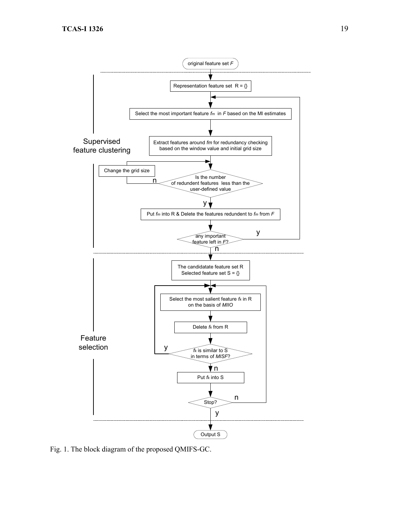

Fig. 1. The block diagram of the proposed QMIFS-GC.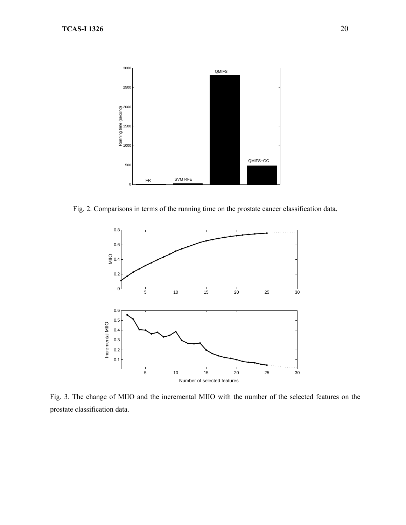

Fig. 2. Comparisons in terms of the running time on the prostate cancer classification data.



Fig. 3. The change of MIIO and the incremental MIIO with the number of the selected features on the prostate classification data.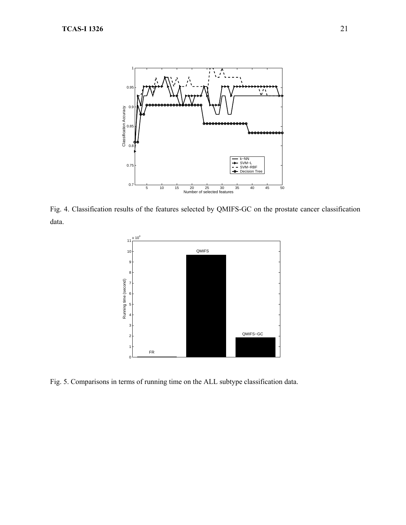

Fig. 4. Classification results of the features selected by QMIFS-GC on the prostate cancer classification data.



Fig. 5. Comparisons in terms of running time on the ALL subtype classification data.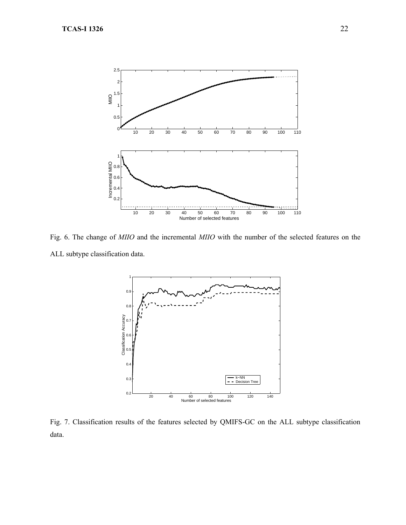

Fig. 6. The change of *MIIO* and the incremental *MIIO* with the number of the selected features on the ALL subtype classification data.



Fig. 7. Classification results of the features selected by QMIFS-GC on the ALL subtype classification data.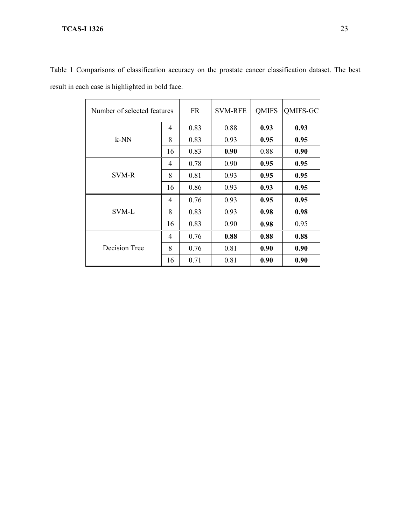| Number of selected features | <b>FR</b>      | <b>SVM-RFE</b> | <b>QMIFS</b> | QMIFS-GC |      |
|-----------------------------|----------------|----------------|--------------|----------|------|
|                             | 4              | 0.83           | 0.88         | 0.93     | 0.93 |
| $k-NN$                      | 8              | 0.83           | 0.93         | 0.95     | 0.95 |
|                             | 16             | 0.83           | 0.90         | 0.88     | 0.90 |
|                             | $\overline{4}$ | 0.78           | 0.90         | 0.95     | 0.95 |
| SVM-R                       | 8              | 0.81           | 0.93         | 0.95     | 0.95 |
|                             | 16             | 0.86           | 0.93         | 0.93     | 0.95 |
|                             | 4              | 0.76           | 0.93         | 0.95     | 0.95 |
| SVM-L                       | 8              | 0.83           | 0.93         | 0.98     | 0.98 |
|                             | 16             | 0.83           | 0.90         | 0.98     | 0.95 |
|                             | 4              | 0.76           | 0.88         | 0.88     | 0.88 |
| Decision Tree               | 8              | 0.76           | 0.81         | 0.90     | 0.90 |
|                             | 16             | 0.71           | 0.81         | 0.90     | 0.90 |

Table 1 Comparisons of classification accuracy on the prostate cancer classification dataset. The best result in each case is highlighted in bold face.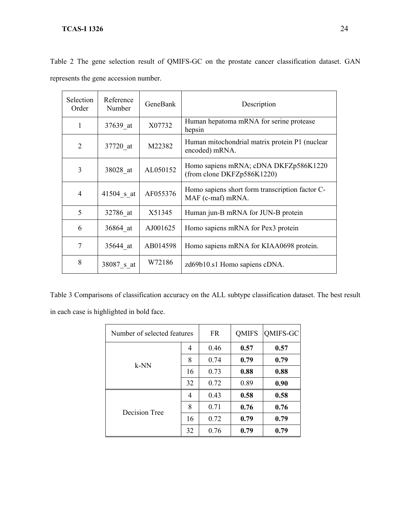| Human hepatoma mRNA for serine protease<br>X07732<br>1<br>37639 at<br>hepsin<br>2<br>M22382<br>37720 at<br>encoded) mRNA.<br>AL050152<br>3<br>38028 at<br>(from clone DKFZp586K1220)<br>AF055376<br>41504 s at<br>4<br>MAF (c-maf) mRNA.<br>5<br>Human jun-B mRNA for JUN-B protein<br>32786 at<br>X51345<br>6<br>AJ001625<br>Homo sapiens mRNA for Pex3 protein<br>36864_at<br>7<br>35644 at<br>AB014598<br>8<br>W72186 | Selection<br>Order | Reference<br>Number | GeneBank | Description                                     |
|--------------------------------------------------------------------------------------------------------------------------------------------------------------------------------------------------------------------------------------------------------------------------------------------------------------------------------------------------------------------------------------------------------------------------|--------------------|---------------------|----------|-------------------------------------------------|
|                                                                                                                                                                                                                                                                                                                                                                                                                          |                    |                     |          |                                                 |
|                                                                                                                                                                                                                                                                                                                                                                                                                          |                    |                     |          | Human mitochondrial matrix protein P1 (nuclear  |
|                                                                                                                                                                                                                                                                                                                                                                                                                          |                    |                     |          | Homo sapiens mRNA; cDNA DKFZp586K1220           |
|                                                                                                                                                                                                                                                                                                                                                                                                                          |                    |                     |          | Homo sapiens short form transcription factor C- |
|                                                                                                                                                                                                                                                                                                                                                                                                                          |                    |                     |          |                                                 |
|                                                                                                                                                                                                                                                                                                                                                                                                                          |                    |                     |          |                                                 |
|                                                                                                                                                                                                                                                                                                                                                                                                                          |                    |                     |          | Homo sapiens mRNA for KIAA0698 protein.         |
|                                                                                                                                                                                                                                                                                                                                                                                                                          |                    | 38087_s_at          |          | zd69b10.s1 Homo sapiens cDNA.                   |

Table 2 The gene selection result of QMIFS-GC on the prostate cancer classification dataset. GAN represents the gene accession number.

Table 3 Comparisons of classification accuracy on the ALL subtype classification dataset. The best result in each case is highlighted in bold face.

| Number of selected features |    | <b>FR</b> | <b>QMIFS</b> | QMIFS-GC |
|-----------------------------|----|-----------|--------------|----------|
| $k-NN$                      | 4  | 0.46      | 0.57         | 0.57     |
|                             | 8  | 0.74      | 0.79         | 0.79     |
|                             | 16 | 0.73      | 0.88         | 0.88     |
|                             | 32 | 0.72      | 0.89         | 0.90     |
|                             | 4  | 0.43      | 0.58         | 0.58     |
| Decision Tree               | 8  | 0.71      | 0.76         | 0.76     |
|                             | 16 | 0.72      | 0.79         | 0.79     |
|                             | 32 | 0.76      | 0.79         | 0.79     |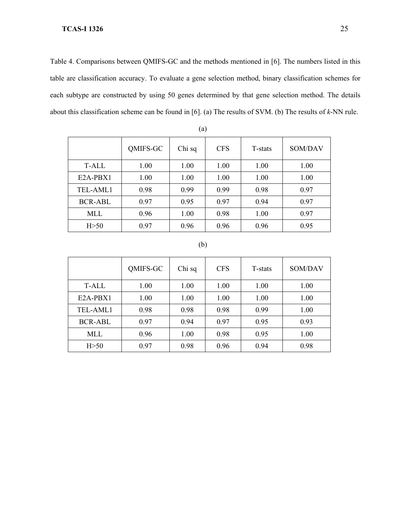Table 4. Comparisons between QMIFS-GC and the methods mentioned in [6]. The numbers listed in this table are classification accuracy. To evaluate a gene selection method, binary classification schemes for each subtype are constructed by using 50 genes determined by that gene selection method. The details about this classification scheme can be found in [6]. (a) The results of SVM. (b) The results of *k*-NN rule.

|            | QMIFS-GC | Chi sq | <b>CFS</b> | T-stats | SOM/DAV |
|------------|----------|--------|------------|---------|---------|
| T-ALL      | 1.00     | 1.00   | 1.00       | 1.00    | 1.00    |
| $E2A-PBX1$ | 1.00     | 1.00   | 1.00       | 1.00    | 1.00    |
| TEL-AML1   | 0.98     | 0.99   | 0.99       | 0.98    | 0.97    |
| BCR-ABL    | 0.97     | 0.95   | 0.97       | 0.94    | 0.97    |
| MLL.       | 0.96     | 1.00   | 0.98       | 1.00    | 0.97    |
| H > 50     | 0.97     | 0.96   | 0.96       | 0.96    | 0.95    |

(b)

|            | QMIFS-GC | Chi sq | <b>CFS</b> | T-stats | SOM/DAV |
|------------|----------|--------|------------|---------|---------|
| T-ALL      | 1.00     | 1.00   | 1.00       | 1.00    | 1.00    |
| $E2A-PBY1$ | 1.00     | 1.00   | 1.00       | 1.00    | 1.00    |
| TEL-AML1   | 0.98     | 0.98   | 0.98       | 0.99    | 1.00    |
| BCR-ABL    | 0.97     | 0.94   | 0.97       | 0.95    | 0.93    |
| MLL        | 0.96     | 1.00   | 0.98       | 0.95    | 1.00    |
| H > 50     | 0.97     | 0.98   | 0.96       | 0.94    | 0.98    |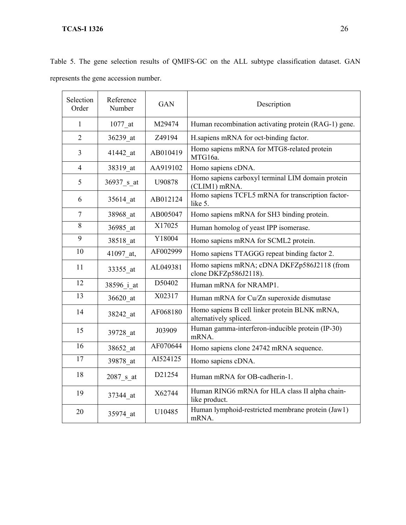|  |  |                                       |  |  |  | Table 5. The gene selection results of QMIFS-GC on the ALL subtype classification dataset. GAN |  |
|--|--|---------------------------------------|--|--|--|------------------------------------------------------------------------------------------------|--|
|  |  | represents the gene accession number. |  |  |  |                                                                                                |  |

| Selection<br>Order | Reference<br>Number | <b>GAN</b> | Description                                                             |  |  |
|--------------------|---------------------|------------|-------------------------------------------------------------------------|--|--|
| $\mathbf{1}$       | 1077 at             | M29474     | Human recombination activating protein (RAG-1) gene.                    |  |  |
| $\overline{2}$     | 36239 at            | Z49194     | H.sapiens mRNA for oct-binding factor.                                  |  |  |
| 3                  | 41442_at            | AB010419   | Homo sapiens mRNA for MTG8-related protein<br>MTG16a.                   |  |  |
| $\overline{4}$     | 38319 at            | AA919102   | Homo sapiens cDNA.                                                      |  |  |
| 5                  | 36937 s at          | U90878     | Homo sapiens carboxyl terminal LIM domain protein<br>(CLIM1) mRNA.      |  |  |
| 6                  | 35614 at            | AB012124   | Homo sapiens TCFL5 mRNA for transcription factor-<br>like 5.            |  |  |
| $\tau$             | 38968 at            | AB005047   | Homo sapiens mRNA for SH3 binding protein.                              |  |  |
| 8                  | 36985 at            | X17025     | Human homolog of yeast IPP isomerase.                                   |  |  |
| 9                  | 38518 at            | Y18004     | Homo sapiens mRNA for SCML2 protein.                                    |  |  |
| 10                 | 41097 at,           | AF002999   | Homo sapiens TTAGGG repeat binding factor 2.                            |  |  |
| 11                 | 33355 at            | AL049381   | Homo sapiens mRNA; cDNA DKFZp586J2118 (from<br>clone DKFZp586J2118).    |  |  |
| 12                 | 38596 i at          | D50402     | Human mRNA for NRAMP1.                                                  |  |  |
| 13                 | 36620 at            | X02317     | Human mRNA for Cu/Zn superoxide dismutase                               |  |  |
| 14                 | 38242 at            | AF068180   | Homo sapiens B cell linker protein BLNK mRNA,<br>alternatively spliced. |  |  |
| 15                 | 39728 at            | J03909     | Human gamma-interferon-inducible protein (IP-30)<br>mRNA.               |  |  |
| 16                 | 38652_at            | AF070644   | Homo sapiens clone 24742 mRNA sequence.                                 |  |  |
| 17                 | 39878 at            | AI524125   | Homo sapiens cDNA.                                                      |  |  |
| 18                 | 2087 s at           | D21254     | Human mRNA for OB-cadherin-1.                                           |  |  |
| 19                 | 37344 at            | X62744     | Human RING6 mRNA for HLA class II alpha chain-<br>like product.         |  |  |
| 20                 | 35974 at            | U10485     | Human lymphoid-restricted membrane protein (Jaw1)<br>mRNA.              |  |  |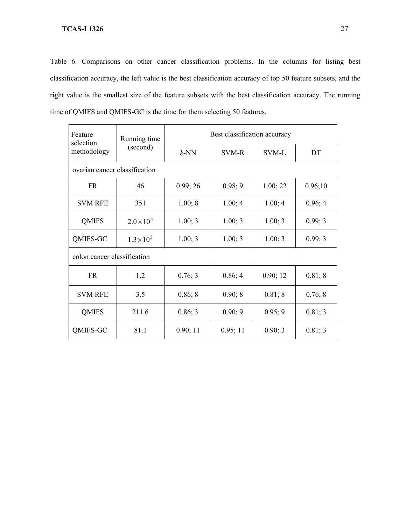Table 6. Comparisons on other cancer classification problems. In the columns for listing best classification accuracy, the left value is the best classification accuracy of top 50 feature subsets, and the right value is the smallest size of the feature subsets with the best classification accuracy. The running time of QMIFS and QMIFS-GC is the time for them selecting 50 features.

| Feature<br>selection<br>methodology | Running time        | Best classification accuracy |              |          |         |  |  |  |
|-------------------------------------|---------------------|------------------------------|--------------|----------|---------|--|--|--|
|                                     | (second)            | $k$ -NN                      | <b>SVM-R</b> | SVM-L    | DT      |  |  |  |
| ovarian cancer classification       |                     |                              |              |          |         |  |  |  |
| <b>FR</b>                           | 46                  | 0.99; 26                     | 0.98; 9      | 1.00; 22 | 0.96;10 |  |  |  |
| <b>SVM RFE</b>                      | 351                 | 1.00; 8                      | 1.00; 4      | 1.00; 4  | 0.96; 4 |  |  |  |
| <b>QMIFS</b>                        | $2.0 \times 10^{4}$ | 1.00; 3                      | 1.00; 3      | 1.00; 3  | 0.99; 3 |  |  |  |
| QMIFS-GC                            | $1.3 \times 10^{3}$ | 1.00; 3                      | 1.00; 3      | 1.00; 3  | 0.99; 3 |  |  |  |
| colon cancer classification         |                     |                              |              |          |         |  |  |  |
| <b>FR</b>                           | 1.2                 | 0.76; 3                      | 0.86; 4      | 0.90; 12 | 0.81; 8 |  |  |  |
| <b>SVM RFE</b>                      | 3.5                 | 0.86; 8                      | 0.90; 8      | 0.81; 8  | 0.76; 8 |  |  |  |
| <b>QMIFS</b>                        | 211.6               | 0.86; 3                      | 0.90; 9      | 0.95; 9  | 0.81; 3 |  |  |  |
| QMIFS-GC                            | 81.1                | 0.90; 11                     | 0.95; 11     | 0.90; 3  | 0.81; 3 |  |  |  |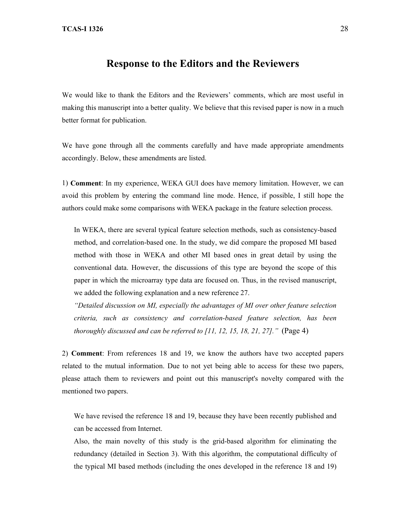# **Response to the Editors and the Reviewers**

We would like to thank the Editors and the Reviewers' comments, which are most useful in making this manuscript into a better quality. We believe that this revised paper is now in a much better format for publication.

We have gone through all the comments carefully and have made appropriate amendments accordingly. Below, these amendments are listed.

1) **Comment**: In my experience, WEKA GUI does have memory limitation. However, we can avoid this problem by entering the command line mode. Hence, if possible, I still hope the authors could make some comparisons with WEKA package in the feature selection process.

In WEKA, there are several typical feature selection methods, such as consistency-based method, and correlation-based one. In the study, we did compare the proposed MI based method with those in WEKA and other MI based ones in great detail by using the conventional data. However, the discussions of this type are beyond the scope of this paper in which the microarray type data are focused on. Thus, in the revised manuscript, we added the following explanation and a new reference 27.

*"Detailed discussion on MI, especially the advantages of MI over other feature selection criteria, such as consistency and correlation-based feature selection, has been thoroughly discussed and can be referred to [11, 12, 15, 18, 21, 27]."* (Page 4)

2) **Comment**: From references 18 and 19, we know the authors have two accepted papers related to the mutual information. Due to not yet being able to access for these two papers, please attach them to reviewers and point out this manuscript's novelty compared with the mentioned two papers.

We have revised the reference 18 and 19, because they have been recently published and can be accessed from Internet.

Also, the main novelty of this study is the grid-based algorithm for eliminating the redundancy (detailed in Section 3). With this algorithm, the computational difficulty of the typical MI based methods (including the ones developed in the reference 18 and 19)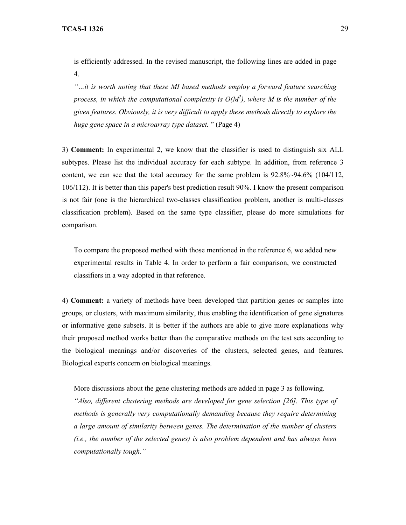is efficiently addressed. In the revised manuscript, the following lines are added in page 4.

*"…it is worth noting that these MI based methods employ a forward feature searching process, in which the computational complexity is O(M2 ), where M is the number of the given features. Obviously, it is very difficult to apply these methods directly to explore the huge gene space in a microarray type dataset.* " (Page 4)

3) **Comment:** In experimental 2, we know that the classifier is used to distinguish six ALL subtypes. Please list the individual accuracy for each subtype. In addition, from reference 3 content, we can see that the total accuracy for the same problem is 92.8%~94.6% (104/112, 106/112). It is better than this paper's best prediction result 90%. I know the present comparison is not fair (one is the hierarchical two-classes classification problem, another is multi-classes classification problem). Based on the same type classifier, please do more simulations for comparison.

To compare the proposed method with those mentioned in the reference 6, we added new experimental results in Table 4. In order to perform a fair comparison, we constructed classifiers in a way adopted in that reference.

4) **Comment:** a variety of methods have been developed that partition genes or samples into groups, or clusters, with maximum similarity, thus enabling the identification of gene signatures or informative gene subsets. It is better if the authors are able to give more explanations why their proposed method works better than the comparative methods on the test sets according to the biological meanings and/or discoveries of the clusters, selected genes, and features. Biological experts concern on biological meanings.

More discussions about the gene clustering methods are added in page 3 as following. *"Also, different clustering methods are developed for gene selection [26]. This type of methods is generally very computationally demanding because they require determining a large amount of similarity between genes. The determination of the number of clusters (i.e., the number of the selected genes) is also problem dependent and has always been computationally tough."*